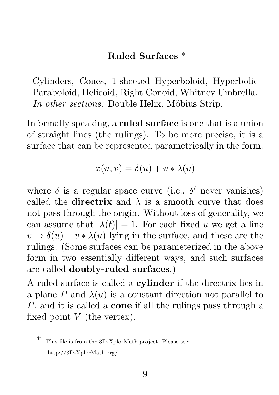## Ruled Surfaces \*

Cylinders, Cones, 1-sheeted Hyperboloid, Hyperbolic Paraboloid, Helicoid, Right Conoid, Whitney Umbrella. *In other sections:* Double Helix, Möbius Strip.

Informally speaking, a ruled surface is one that is a union of straight lines (the rulings). To be more precise, it is a surface that can be represented parametrically in the form:

$$
x(u, v) = \delta(u) + v * \lambda(u)
$$

where  $\delta$  is a regular space curve (i.e.,  $\delta'$  never vanishes) called the **directrix** and  $\lambda$  is a smooth curve that does not pass through the origin. Without loss of generality, we can assume that  $|\lambda(t)| = 1$ . For each fixed u we get a line  $v \mapsto \delta(u) + v * \lambda(u)$  lying in the surface, and these are the rulings. (Some surfaces can be parameterized in the above form in two essentially different ways, and such surfaces are called doubly-ruled surfaces.)

A ruled surface is called a cylinder if the directrix lies in a plane P and  $\lambda(u)$  is a constant direction not parallel to  $P$ , and it is called a **cone** if all the rulings pass through a fixed point  $V$  (the vertex).

This file is from the 3D-XplorMath project. Please see: http://3D-XplorMath.org/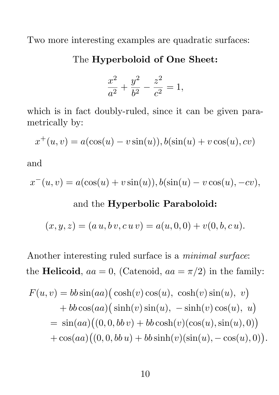Two more interesting examples are quadratic surfaces:

The Hyperboloid of One Sheet:

$$
\frac{x^2}{a^2} + \frac{y^2}{b^2} - \frac{z^2}{c^2} = 1,
$$

which is in fact doubly-ruled, since it can be given parametrically by:

$$
x^+(u, v) = a(\cos(u) - v\sin(u)), b(\sin(u) + v\cos(u), cv)
$$

and

$$
x^{-}(u, v) = a(\cos(u) + v\sin(u)), b(\sin(u) - v\cos(u), -cv),
$$

## and the Hyperbolic Paraboloid:

$$
(x, y, z) = (a u, b v, c u v) = a(u, 0, 0) + v(0, b, c u).
$$

Another interesting ruled surface is a *minimal surface*: the **Helicoid**,  $aa = 0$ , (Catenoid,  $aa = \pi/2$ ) in the family:

$$
F(u, v) = bb \sin(aa) (\cosh(v) \cos(u), \cosh(v) \sin(u), v)
$$
  
+ 
$$
bb \cos(aa) (\sinh(v) \sin(u), -\sinh(v) \cos(u), u)
$$
  
= 
$$
\sin(aa)((0, 0, bbv) + bb \cosh(v)(\cos(u), \sin(u), 0))
$$
  
+ 
$$
\cos(aa)((0, 0, bbu) + bb \sinh(v)(\sin(u), -\cos(u), 0)).
$$